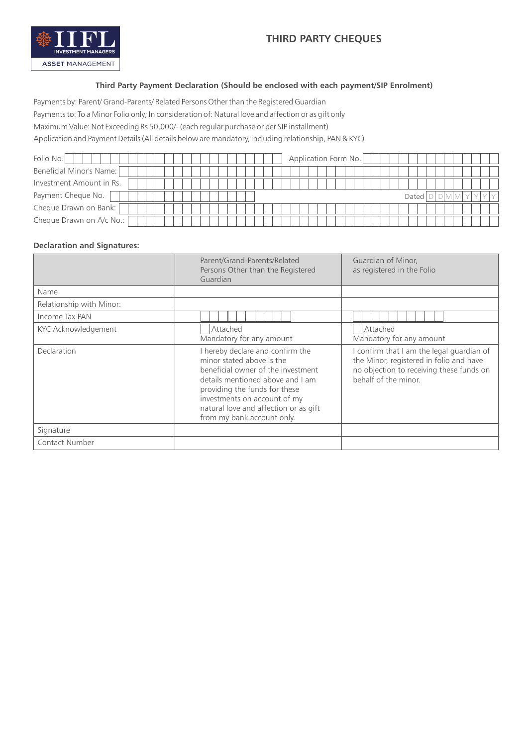

## **Third Party Payment Declaration (Should be enclosed with each payment/SIP Enrolment)**

Payments by: Parent/ Grand-Parents/ Related Persons Other than the Registered Guardian

Payments to: To a Minor Folio only; In consideration of: Natural love and affection or as gift only

Maximum Value: Not Exceeding Rs 50,000/- (each regular purchase or per SIP installment)

Application and Payment Details (All details below are mandatory, including relationship, PAN & KYC)

| Folio No.                | Application Form No. |
|--------------------------|----------------------|
| Beneficial Minor's Name: |                      |
| Investment Amount in Rs. |                      |
| Payment Cheque No.       | Dated                |
| Cheque Drawn on Bank:    |                      |
| Cheque Drawn on A/c No.: |                      |

### **Declaration and Signatures:**

|                          | Parent/Grand-Parents/Related<br>Persons Other than the Registered<br>Guardian                                                                                                                                                                                                   | Guardian of Minor.<br>as registered in the Folio                                                                                                         |
|--------------------------|---------------------------------------------------------------------------------------------------------------------------------------------------------------------------------------------------------------------------------------------------------------------------------|----------------------------------------------------------------------------------------------------------------------------------------------------------|
| Name                     |                                                                                                                                                                                                                                                                                 |                                                                                                                                                          |
| Relationship with Minor: |                                                                                                                                                                                                                                                                                 |                                                                                                                                                          |
| Income Tax PAN           |                                                                                                                                                                                                                                                                                 |                                                                                                                                                          |
| KYC Acknowledgement      | Attached<br>Mandatory for any amount                                                                                                                                                                                                                                            | Attached<br>Mandatory for any amount                                                                                                                     |
| Declaration              | I hereby declare and confirm the<br>minor stated above is the<br>beneficial owner of the investment<br>details mentioned above and I am<br>providing the funds for these<br>investments on account of my<br>natural love and affection or as gift<br>from my bank account only. | I confirm that I am the legal guardian of<br>the Minor, registered in folio and have<br>no objection to receiving these funds on<br>behalf of the minor. |
| Signature                |                                                                                                                                                                                                                                                                                 |                                                                                                                                                          |
| <b>Contact Number</b>    |                                                                                                                                                                                                                                                                                 |                                                                                                                                                          |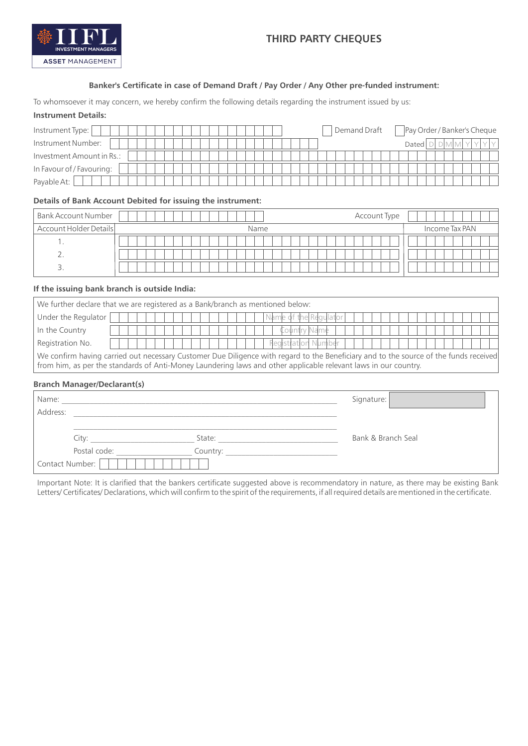

### **Banker's Certificate in case of Demand Draft / Pay Order / Any Other pre-funded instrument:**

To whomsoever it may concern, we hereby confirm the following details regarding the instrument issued by us:

#### **Instrument Details:**

| Instrument Type:          | Demand Draft | Pay Order / Banker's Cheque |
|---------------------------|--------------|-----------------------------|
| Instrument Number:        |              | Datedl                      |
| Investment Amount in Rs.: |              |                             |
| In Favour of / Favouring: |              |                             |
| Payable At:               |              |                             |

#### **Details of Bank Account Debited for issuing the instrument:**

| <b>Bank Account Number</b> | Account Type |                |
|----------------------------|--------------|----------------|
| Account Holder Details     | Name         | Income Tax PAN |
|                            |              |                |
|                            |              |                |
| $\overline{\phantom{a}}$   |              |                |

#### **If the issuing bank branch is outside India:**

| We further declare that we are registered as a Bank/branch as mentioned below:                                                        |                       |  |
|---------------------------------------------------------------------------------------------------------------------------------------|-----------------------|--|
| Under the Regulator                                                                                                                   | Name of the Regulator |  |
| In the Country                                                                                                                        | Country Name          |  |
| Registration No.                                                                                                                      | Registration Number   |  |
| We confirm having carried out necessary Customer Due Diligence with regard to the Beneficiary and to the source of the funds received |                       |  |
| from him, as per the standards of Anti-Money Laundering laws and other applicable relevant laws in our country.                       |                       |  |

#### **Branch Manager/Declarant(s)**

| Name:           |          | Signature:         |
|-----------------|----------|--------------------|
| Address:        |          |                    |
| City:           | State:   | Bank & Branch Seal |
| Postal code:    | Country: |                    |
| Contact Number: |          |                    |

Important Note: It is clarified that the bankers certificate suggested above is recommendatory in nature, as there may be existing Bank Letters/ Certificates/ Declarations, which will confirm to the spirit of the requirements, if all required details are mentioned in the certificate.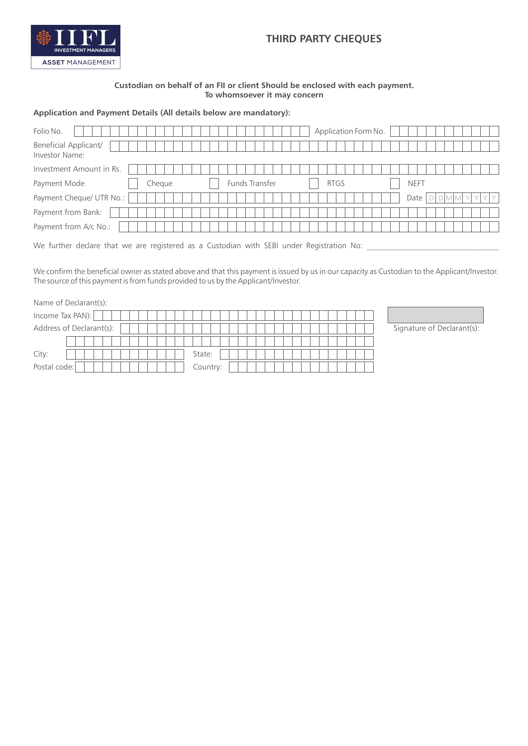

### **Custodian on behalf of an FII or client Should be enclosed with each payment. To whomsoever it may concern**

### **Application and Payment Details (All details below are mandatory):**

| Folio No.                               |        |                | Application Form No. |             |  |
|-----------------------------------------|--------|----------------|----------------------|-------------|--|
| Beneficial Applicant/<br>Investor Name: |        |                |                      |             |  |
| Investment Amount in Rs.                |        |                |                      |             |  |
| Payment Mode                            | Cheque | Funds Transfer | <b>RTGS</b>          | <b>NEFT</b> |  |
| Payment Cheque/ UTR No.:                |        |                |                      | Date        |  |
| Payment from Bank:                      |        |                |                      |             |  |
| Payment from A/c No.:                   |        |                |                      |             |  |
|                                         |        |                |                      |             |  |

We further declare that we are registered as a Custodian with SEBI under Registration No:

We confirm the beneficial owner as stated above and that this payment is issued by us in our capacity as Custodian to the Applicant/Investor. The source of this payment is from funds provided to us by the Applicant/Investor.

| Name of Declarant(s):    |          |
|--------------------------|----------|
| Income Tax PAN):         |          |
| Address of Declarant(s): |          |
|                          |          |
| City:                    | State:   |
| Postal code:             | Country: |

Signature of Declarant(s):